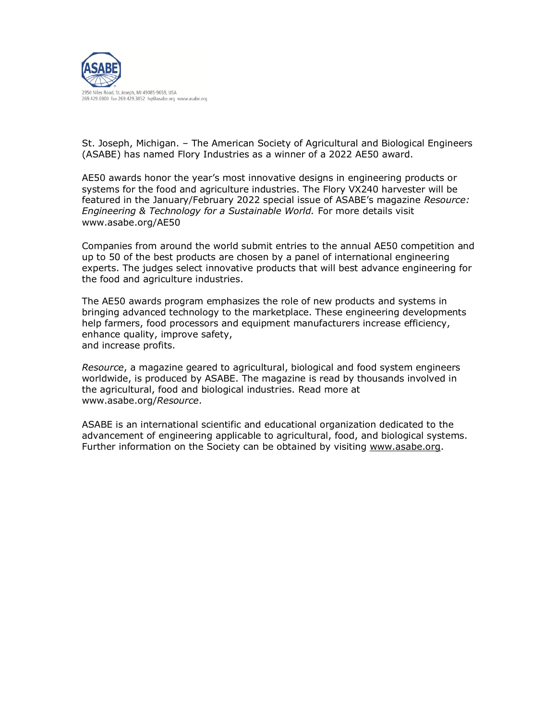

St. Joseph, Michigan. – The American Society of Agricultural and Biological Engineers (ASABE) has named Flory Industries as a winner of a 2022 AE50 award.

AE50 awards honor the year's most innovative designs in engineering products or systems for the food and agriculture industries. The Flory VX240 harvester will be featured in the January/February 2022 special issue of ASABE's magazine *Resource: Engineering & Technology for a Sustainable World.* For more details visit www.asabe.org/AE50

Companies from around the world submit entries to the annual AE50 competition and up to 50 of the best products are chosen by a panel of international engineering experts. The judges select innovative products that will best advance engineering for the food and agriculture industries.

The AE50 awards program emphasizes the role of new products and systems in bringing advanced technology to the marketplace. These engineering developments help farmers, food processors and equipment manufacturers increase efficiency, enhance quality, improve safety, and increase profits.

*Resource*, a magazine geared to agricultural, biological and food system engineers worldwide, is produced by ASABE. The magazine is read by thousands involved in the agricultural, food and biological industries. Read more at www.asabe.org/*Resource*.

ASABE is an international scientific and educational organization dedicated to the advancement of engineering applicable to agricultural, food, and biological systems. Further information on the Society can be obtained by visiting [www.asabe.org.](http://www.asabe.org/)